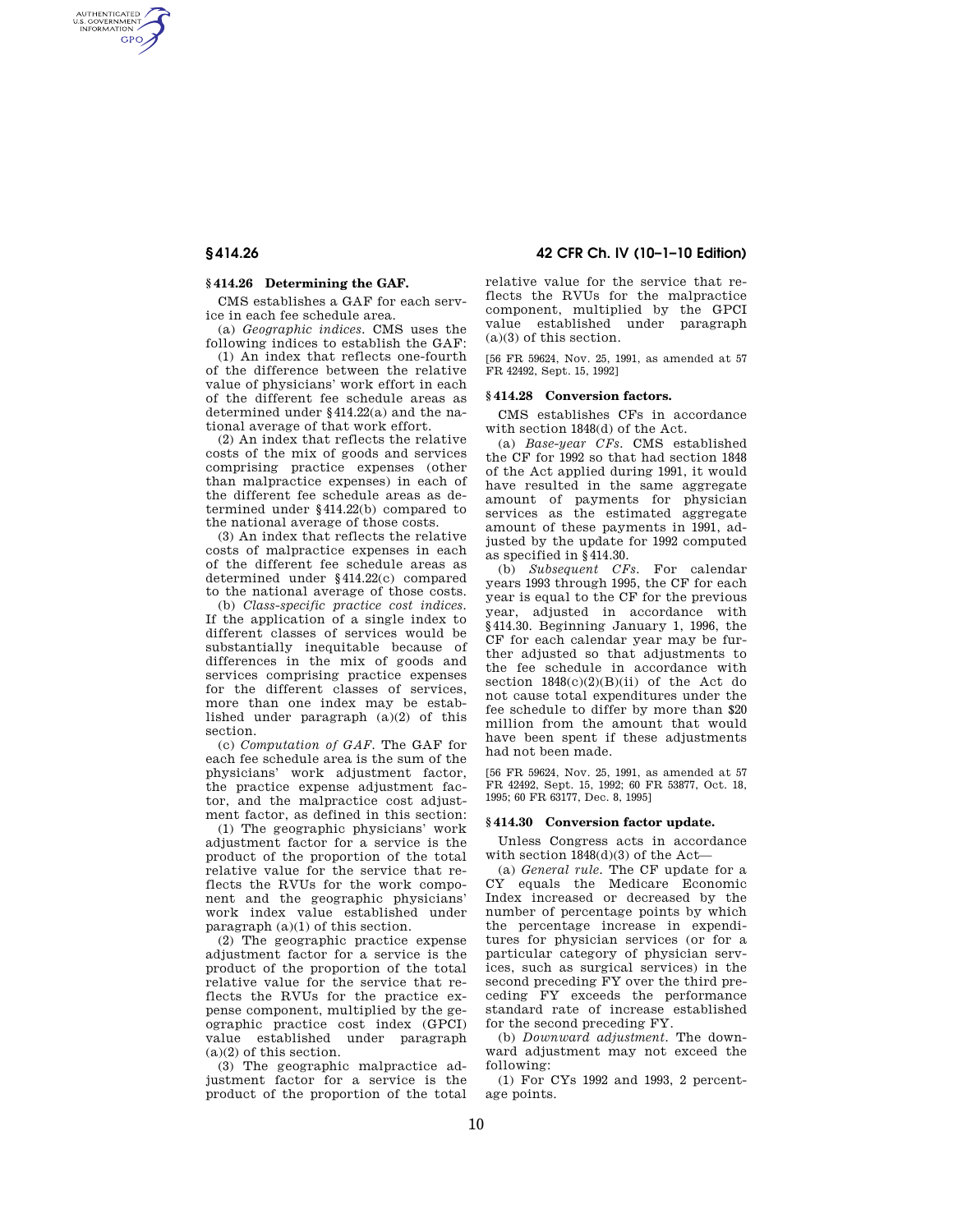AUTHENTICATED<br>U.S. GOVERNMENT<br>INFORMATION **GPO** 

## **§ 414.26 Determining the GAF.**

CMS establishes a GAF for each service in each fee schedule area.

(a) *Geographic indices.* CMS uses the following indices to establish the GAF:

(1) An index that reflects one-fourth of the difference between the relative value of physicians' work effort in each of the different fee schedule areas as determined under §414.22(a) and the national average of that work effort.

(2) An index that reflects the relative costs of the mix of goods and services comprising practice expenses (other than malpractice expenses) in each of the different fee schedule areas as determined under §414.22(b) compared to the national average of those costs.

(3) An index that reflects the relative costs of malpractice expenses in each of the different fee schedule areas as determined under §414.22(c) compared to the national average of those costs.

(b) *Class-specific practice cost indices.*  If the application of a single index to different classes of services would be substantially inequitable because of differences in the mix of goods and services comprising practice expenses for the different classes of services, more than one index may be established under paragraph (a)(2) of this section.

(c) *Computation of GAF.* The GAF for each fee schedule area is the sum of the physicians' work adjustment factor, the practice expense adjustment factor, and the malpractice cost adjustment factor, as defined in this section:

(1) The geographic physicians' work adjustment factor for a service is the product of the proportion of the total relative value for the service that reflects the RVUs for the work component and the geographic physicians' work index value established under paragraph  $(a)(1)$  of this section.

(2) The geographic practice expense adjustment factor for a service is the product of the proportion of the total relative value for the service that reflects the RVUs for the practice expense component, multiplied by the geographic practice cost index (GPCI) value established under paragraph (a)(2) of this section.

(3) The geographic malpractice adjustment factor for a service is the product of the proportion of the total

**§ 414.26 42 CFR Ch. IV (10–1–10 Edition)** 

relative value for the service that reflects the RVUs for the malpractice component, multiplied by the GPCI value established under paragraph (a)(3) of this section.

[56 FR 59624, Nov. 25, 1991, as amended at 57 FR 42492, Sept. 15, 1992]

#### **§ 414.28 Conversion factors.**

CMS establishes CFs in accordance with section 1848(d) of the Act.

(a) *Base-year CFs.* CMS established the CF for 1992 so that had section 1848 of the Act applied during 1991, it would have resulted in the same aggregate amount of payments for physician services as the estimated aggregate amount of these payments in 1991, adjusted by the update for 1992 computed as specified in §414.30.

(b) *Subsequent CFs.* For calendar years 1993 through 1995, the CF for each year is equal to the CF for the previous year, adjusted in accordance with §414.30. Beginning January 1, 1996, the CF for each calendar year may be further adjusted so that adjustments to the fee schedule in accordance with section  $1848(c)(2)(B)(ii)$  of the Act do not cause total expenditures under the fee schedule to differ by more than \$20 million from the amount that would have been spent if these adjustments had not been made.

[56 FR 59624, Nov. 25, 1991, as amended at 57 FR 42492, Sept. 15, 1992; 60 FR 53877, Oct. 18, 1995; 60 FR 63177, Dec. 8, 1995]

### **§ 414.30 Conversion factor update.**

Unless Congress acts in accordance with section 1848(d)(3) of the Act—

(a) *General rule.* The CF update for a CY equals the Medicare Economic Index increased or decreased by the number of percentage points by which the percentage increase in expenditures for physician services (or for a particular category of physician services, such as surgical services) in the second preceding FY over the third preceding FY exceeds the performance standard rate of increase established for the second preceding FY.

(b) *Downward adjustment.* The downward adjustment may not exceed the following:

(1) For CYs 1992 and 1993, 2 percentage points.